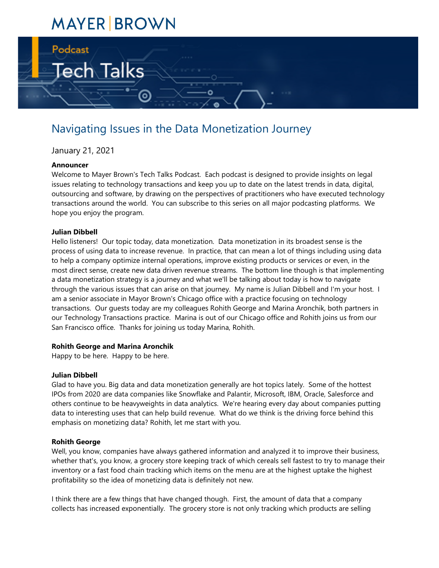# **MAYER BROWN**

Tech Talks

# Navigating Issues in the Data Monetization Journey

ම

January 21, 2021

#### **Announcer**

Podcast

Welcome to Mayer Brown's Tech Talks Podcast. Each podcast is designed to provide insights on legal issues relating to technology transactions and keep you up to date on the latest trends in data, digital, outsourcing and software, by drawing on the perspectives of practitioners who have executed technology transactions around the world. You can subscribe to this series on all major podcasting platforms. We hope you enjoy the program.

#### **Julian Dibbell**

Hello listeners! Our topic today, data monetization. Data monetization in its broadest sense is the process of using data to increase revenue. In practice, that can mean a lot of things including using data to help a company optimize internal operations, improve existing products or services or even, in the most direct sense, create new data driven revenue streams. The bottom line though is that implementing a data monetization strategy is a journey and what we'll be talking about today is how to navigate through the various issues that can arise on that journey. My name is Julian Dibbell and I'm your host. I am a senior associate in Mayor Brown's Chicago office with a practice focusing on technology transactions. Our guests today are my colleagues Rohith George and Marina Aronchik, both partners in our Technology Transactions practice. Marina is out of our Chicago office and Rohith joins us from our San Francisco office. Thanks for joining us today Marina, Rohith.

#### **Rohith George and Marina Aronchik**

Happy to be here. Happy to be here.

#### **Julian Dibbell**

Glad to have you. Big data and data monetization generally are hot topics lately. Some of the hottest IPOs from 2020 are data companies like Snowflake and Palantir, Microsoft, IBM, Oracle, Salesforce and others continue to be heavyweights in data analytics. We're hearing every day about companies putting data to interesting uses that can help build revenue. What do we think is the driving force behind this emphasis on monetizing data? Rohith, let me start with you.

#### **Rohith George**

Well, you know, companies have always gathered information and analyzed it to improve their business, whether that's, you know, a grocery store keeping track of which cereals sell fastest to try to manage their inventory or a fast food chain tracking which items on the menu are at the highest uptake the highest profitability so the idea of monetizing data is definitely not new.

I think there are a few things that have changed though. First, the amount of data that a company collects has increased exponentially. The grocery store is not only tracking which products are selling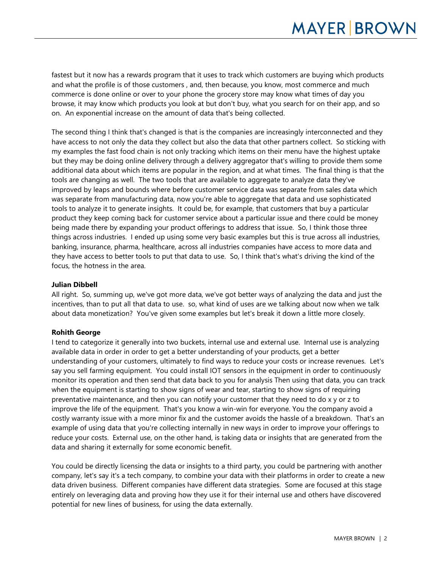fastest but it now has a rewards program that it uses to track which customers are buying which products and what the profile is of those customers , and, then because, you know, most commerce and much commerce is done online or over to your phone the grocery store may know what times of day you browse, it may know which products you look at but don't buy, what you search for on their app, and so on. An exponential increase on the amount of data that's being collected.

The second thing I think that's changed is that is the companies are increasingly interconnected and they have access to not only the data they collect but also the data that other partners collect. So sticking with my examples the fast food chain is not only tracking which items on their menu have the highest uptake but they may be doing online delivery through a delivery aggregator that's willing to provide them some additional data about which items are popular in the region, and at what times. The final thing is that the tools are changing as well. The two tools that are available to aggregate to analyze data they've improved by leaps and bounds where before customer service data was separate from sales data which was separate from manufacturing data, now you're able to aggregate that data and use sophisticated tools to analyze it to generate insights. It could be, for example, that customers that buy a particular product they keep coming back for customer service about a particular issue and there could be money being made there by expanding your product offerings to address that issue. So, I think those three things across industries. I ended up using some very basic examples but this is true across all industries, banking, insurance, pharma, healthcare, across all industries companies have access to more data and they have access to better tools to put that data to use. So, I think that's what's driving the kind of the focus, the hotness in the area.

### **Julian Dibbell**

All right. So, summing up, we've got more data, we've got better ways of analyzing the data and just the incentives, than to put all that data to use. so, what kind of uses are we talking about now when we talk about data monetization? You've given some examples but let's break it down a little more closely.

#### **Rohith George**

I tend to categorize it generally into two buckets, internal use and external use. Internal use is analyzing available data in order in order to get a better understanding of your products, get a better understanding of your customers, ultimately to find ways to reduce your costs or increase revenues. Let's say you sell farming equipment. You could install IOT sensors in the equipment in order to continuously monitor its operation and then send that data back to you for analysis Then using that data, you can track when the equipment is starting to show signs of wear and tear, starting to show signs of requiring preventative maintenance, and then you can notify your customer that they need to do x y or z to improve the life of the equipment. That's you know a win-win for everyone. You the company avoid a costly warranty issue with a more minor fix and the customer avoids the hassle of a breakdown. That's an example of using data that you're collecting internally in new ways in order to improve your offerings to reduce your costs. External use, on the other hand, is taking data or insights that are generated from the data and sharing it externally for some economic benefit.

You could be directly licensing the data or insights to a third party, you could be partnering with another company, let's say it's a tech company, to combine your data with their platforms in order to create a new data driven business. Different companies have different data strategies. Some are focused at this stage entirely on leveraging data and proving how they use it for their internal use and others have discovered potential for new lines of business, for using the data externally.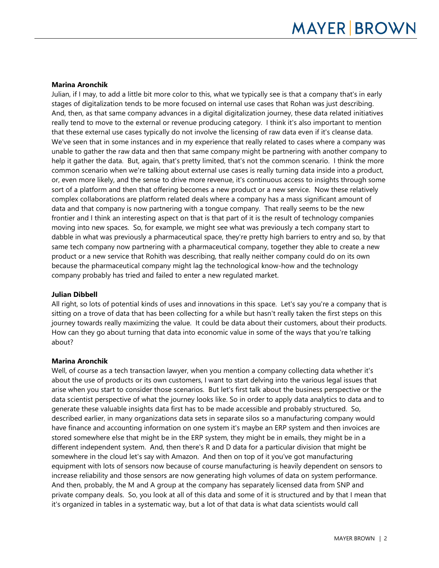#### **Marina Aronchik**

Julian, if I may, to add a little bit more color to this, what we typically see is that a company that's in early stages of digitalization tends to be more focused on internal use cases that Rohan was just describing. And, then, as that same company advances in a digital digitalization journey, these data related initiatives really tend to move to the external or revenue producing category. I think it's also important to mention that these external use cases typically do not involve the licensing of raw data even if it's cleanse data. We've seen that in some instances and in my experience that really related to cases where a company was unable to gather the raw data and then that same company might be partnering with another company to help it gather the data. But, again, that's pretty limited, that's not the common scenario. I think the more common scenario when we're talking about external use cases is really turning data inside into a product, or, even more likely, and the sense to drive more revenue, it's continuous access to insights through some sort of a platform and then that offering becomes a new product or a new service. Now these relatively complex collaborations are platform related deals where a company has a mass significant amount of data and that company is now partnering with a tongue company. That really seems to be the new frontier and I think an interesting aspect on that is that part of it is the result of technology companies moving into new spaces. So, for example, we might see what was previously a tech company start to dabble in what was previously a pharmaceutical space, they're pretty high barriers to entry and so, by that same tech company now partnering with a pharmaceutical company, together they able to create a new product or a new service that Rohith was describing, that really neither company could do on its own because the pharmaceutical company might lag the technological know-how and the technology company probably has tried and failed to enter a new regulated market.

#### **Julian Dibbell**

All right, so lots of potential kinds of uses and innovations in this space. Let's say you're a company that is sitting on a trove of data that has been collecting for a while but hasn't really taken the first steps on this journey towards really maximizing the value. It could be data about their customers, about their products. How can they go about turning that data into economic value in some of the ways that you're talking about?

#### **Marina Aronchik**

Well, of course as a tech transaction lawyer, when you mention a company collecting data whether it's about the use of products or its own customers, I want to start delving into the various legal issues that arise when you start to consider those scenarios. But let's first talk about the business perspective or the data scientist perspective of what the journey looks like. So in order to apply data analytics to data and to generate these valuable insights data first has to be made accessible and probably structured. So, described earlier, in many organizations data sets in separate silos so a manufacturing company would have finance and accounting information on one system it's maybe an ERP system and then invoices are stored somewhere else that might be in the ERP system, they might be in emails, they might be in a different independent system. And, then there's R and D data for a particular division that might be somewhere in the cloud let's say with Amazon. And then on top of it you've got manufacturing equipment with lots of sensors now because of course manufacturing is heavily dependent on sensors to increase reliability and those sensors are now generating high volumes of data on system performance. And then, probably, the M and A group at the company has separately licensed data from SNP and private company deals. So, you look at all of this data and some of it is structured and by that I mean that it's organized in tables in a systematic way, but a lot of that data is what data scientists would call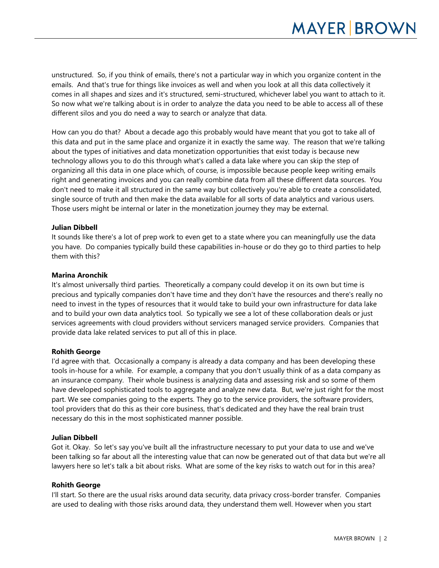unstructured. So, if you think of emails, there's not a particular way in which you organize content in the emails. And that's true for things like invoices as well and when you look at all this data collectively it comes in all shapes and sizes and it's structured, semi-structured, whichever label you want to attach to it. So now what we're talking about is in order to analyze the data you need to be able to access all of these different silos and you do need a way to search or analyze that data.

How can you do that? About a decade ago this probably would have meant that you got to take all of this data and put in the same place and organize it in exactly the same way. The reason that we're talking about the types of initiatives and data monetization opportunities that exist today is because new technology allows you to do this through what's called a data lake where you can skip the step of organizing all this data in one place which, of course, is impossible because people keep writing emails right and generating invoices and you can really combine data from all these different data sources. You don't need to make it all structured in the same way but collectively you're able to create a consolidated, single source of truth and then make the data available for all sorts of data analytics and various users. Those users might be internal or later in the monetization journey they may be external.

#### **Julian Dibbell**

It sounds like there's a lot of prep work to even get to a state where you can meaningfully use the data you have. Do companies typically build these capabilities in-house or do they go to third parties to help them with this?

#### **Marina Aronchik**

It's almost universally third parties. Theoretically a company could develop it on its own but time is precious and typically companies don't have time and they don't have the resources and there's really no need to invest in the types of resources that it would take to build your own infrastructure for data lake and to build your own data analytics tool. So typically we see a lot of these collaboration deals or just services agreements with cloud providers without servicers managed service providers. Companies that provide data lake related services to put all of this in place.

# **Rohith George**

I'd agree with that. Occasionally a company is already a data company and has been developing these tools in-house for a while. For example, a company that you don't usually think of as a data company as an insurance company. Their whole business is analyzing data and assessing risk and so some of them have developed sophisticated tools to aggregate and analyze new data. But, we're just right for the most part. We see companies going to the experts. They go to the service providers, the software providers, tool providers that do this as their core business, that's dedicated and they have the real brain trust necessary do this in the most sophisticated manner possible.

#### **Julian Dibbell**

Got it. Okay. So let's say you've built all the infrastructure necessary to put your data to use and we've been talking so far about all the interesting value that can now be generated out of that data but we're all lawyers here so let's talk a bit about risks. What are some of the key risks to watch out for in this area?

# **Rohith George**

I'll start. So there are the usual risks around data security, data privacy cross-border transfer. Companies are used to dealing with those risks around data, they understand them well. However when you start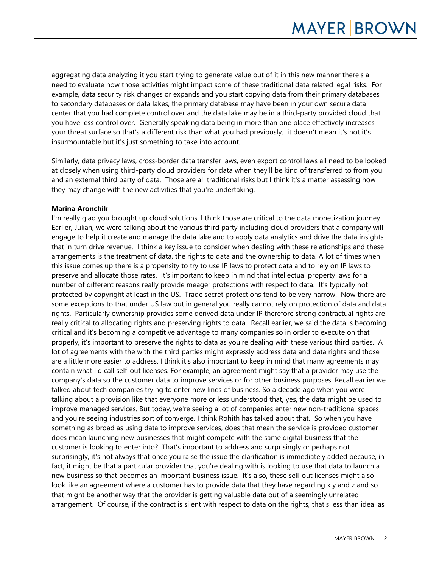aggregating data analyzing it you start trying to generate value out of it in this new manner there's a need to evaluate how those activities might impact some of these traditional data related legal risks. For example, data security risk changes or expands and you start copying data from their primary databases to secondary databases or data lakes, the primary database may have been in your own secure data center that you had complete control over and the data lake may be in a third-party provided cloud that you have less control over. Generally speaking data being in more than one place effectively increases your threat surface so that's a different risk than what you had previously. it doesn't mean it's not it's insurmountable but it's just something to take into account.

Similarly, data privacy laws, cross-border data transfer laws, even export control laws all need to be looked at closely when using third-party cloud providers for data when they'll be kind of transferred to from you and an external third party of data. Those are all traditional risks but I think it's a matter assessing how they may change with the new activities that you're undertaking.

#### **Marina Aronchik**

I'm really glad you brought up cloud solutions. I think those are critical to the data monetization journey. Earlier, Julian, we were talking about the various third party including cloud providers that a company will engage to help it create and manage the data lake and to apply data analytics and drive the data insights that in turn drive revenue. I think a key issue to consider when dealing with these relationships and these arrangements is the treatment of data, the rights to data and the ownership to data. A lot of times when this issue comes up there is a propensity to try to use IP laws to protect data and to rely on IP laws to preserve and allocate those rates. It's important to keep in mind that intellectual property laws for a number of different reasons really provide meager protections with respect to data. It's typically not protected by copyright at least in the US. Trade secret protections tend to be very narrow. Now there are some exceptions to that under US law but in general you really cannot rely on protection of data and data rights. Particularly ownership provides some derived data under IP therefore strong contractual rights are really critical to allocating rights and preserving rights to data. Recall earlier, we said the data is becoming critical and it's becoming a competitive advantage to many companies so in order to execute on that properly, it's important to preserve the rights to data as you're dealing with these various third parties. A lot of agreements with the with the third parties might expressly address data and data rights and those are a little more easier to address. I think it's also important to keep in mind that many agreements may contain what I'd call self-out licenses. For example, an agreement might say that a provider may use the company's data so the customer data to improve services or for other business purposes. Recall earlier we talked about tech companies trying to enter new lines of business. So a decade ago when you were talking about a provision like that everyone more or less understood that, yes, the data might be used to improve managed services. But today, we're seeing a lot of companies enter new non-traditional spaces and you're seeing industries sort of converge. I think Rohith has talked about that. So when you have something as broad as using data to improve services, does that mean the service is provided customer does mean launching new businesses that might compete with the same digital business that the customer is looking to enter into? That's important to address and surprisingly or perhaps not surprisingly, it's not always that once you raise the issue the clarification is immediately added because, in fact, it might be that a particular provider that you're dealing with is looking to use that data to launch a new business so that becomes an important business issue. It's also, these sell-out licenses might also look like an agreement where a customer has to provide data that they have regarding x y and z and so that might be another way that the provider is getting valuable data out of a seemingly unrelated arrangement. Of course, if the contract is silent with respect to data on the rights, that's less than ideal as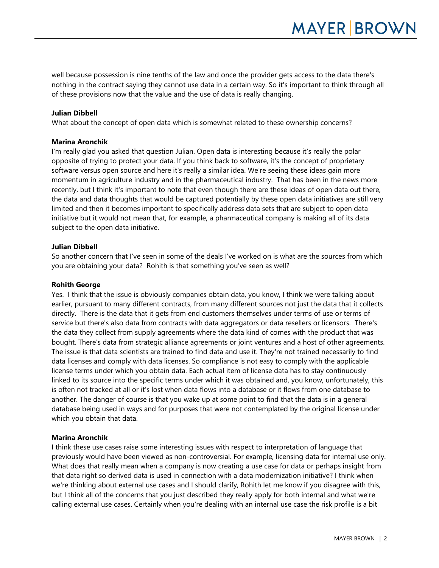well because possession is nine tenths of the law and once the provider gets access to the data there's nothing in the contract saying they cannot use data in a certain way. So it's important to think through all of these provisions now that the value and the use of data is really changing.

#### **Julian Dibbell**

What about the concept of open data which is somewhat related to these ownership concerns?

#### **Marina Aronchik**

I'm really glad you asked that question Julian. Open data is interesting because it's really the polar opposite of trying to protect your data. If you think back to software, it's the concept of proprietary software versus open source and here it's really a similar idea. We're seeing these ideas gain more momentum in agriculture industry and in the pharmaceutical industry. That has been in the news more recently, but I think it's important to note that even though there are these ideas of open data out there, the data and data thoughts that would be captured potentially by these open data initiatives are still very limited and then it becomes important to specifically address data sets that are subject to open data initiative but it would not mean that, for example, a pharmaceutical company is making all of its data subject to the open data initiative.

#### **Julian Dibbell**

So another concern that I've seen in some of the deals I've worked on is what are the sources from which you are obtaining your data? Rohith is that something you've seen as well?

#### **Rohith George**

Yes. I think that the issue is obviously companies obtain data, you know, I think we were talking about earlier, pursuant to many different contracts, from many different sources not just the data that it collects directly. There is the data that it gets from end customers themselves under terms of use or terms of service but there's also data from contracts with data aggregators or data resellers or licensors. There's the data they collect from supply agreements where the data kind of comes with the product that was bought. There's data from strategic alliance agreements or joint ventures and a host of other agreements. The issue is that data scientists are trained to find data and use it. They're not trained necessarily to find data licenses and comply with data licenses. So compliance is not easy to comply with the applicable license terms under which you obtain data. Each actual item of license data has to stay continuously linked to its source into the specific terms under which it was obtained and, you know, unfortunately, this is often not tracked at all or it's lost when data flows into a database or it flows from one database to another. The danger of course is that you wake up at some point to find that the data is in a general database being used in ways and for purposes that were not contemplated by the original license under which you obtain that data.

#### **Marina Aronchik**

I think these use cases raise some interesting issues with respect to interpretation of language that previously would have been viewed as non-controversial. For example, licensing data for internal use only. What does that really mean when a company is now creating a use case for data or perhaps insight from that data right so derived data is used in connection with a data modernization initiative? I think when we're thinking about external use cases and I should clarify, Rohith let me know if you disagree with this, but I think all of the concerns that you just described they really apply for both internal and what we're calling external use cases. Certainly when you're dealing with an internal use case the risk profile is a bit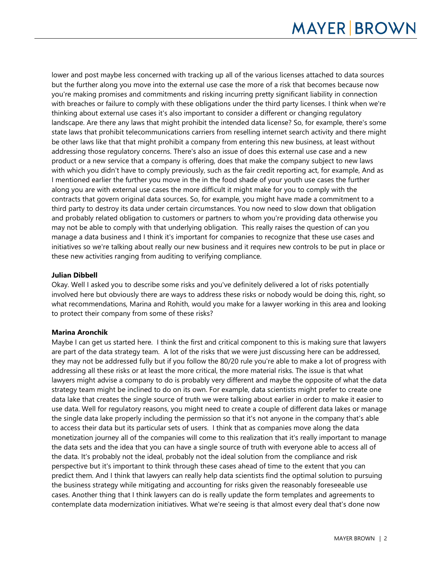lower and post maybe less concerned with tracking up all of the various licenses attached to data sources but the further along you move into the external use case the more of a risk that becomes because now you're making promises and commitments and risking incurring pretty significant liability in connection with breaches or failure to comply with these obligations under the third party licenses. I think when we're thinking about external use cases it's also important to consider a different or changing regulatory landscape. Are there any laws that might prohibit the intended data license? So, for example, there's some state laws that prohibit telecommunications carriers from reselling internet search activity and there might be other laws like that that might prohibit a company from entering this new business, at least without addressing those regulatory concerns. There's also an issue of does this external use case and a new product or a new service that a company is offering, does that make the company subject to new laws with which you didn't have to comply previously, such as the fair credit reporting act, for example, And as I mentioned earlier the further you move in the in the food shade of your youth use cases the further along you are with external use cases the more difficult it might make for you to comply with the contracts that govern original data sources. So, for example, you might have made a commitment to a third party to destroy its data under certain circumstances. You now need to slow down that obligation and probably related obligation to customers or partners to whom you're providing data otherwise you may not be able to comply with that underlying obligation. This really raises the question of can you manage a data business and I think it's important for companies to recognize that these use cases and initiatives so we're talking about really our new business and it requires new controls to be put in place or these new activities ranging from auditing to verifying compliance.

# **Julian Dibbell**

Okay. Well I asked you to describe some risks and you've definitely delivered a lot of risks potentially involved here but obviously there are ways to address these risks or nobody would be doing this, right, so what recommendations, Marina and Rohith, would you make for a lawyer working in this area and looking to protect their company from some of these risks?

# **Marina Aronchik**

Maybe I can get us started here. I think the first and critical component to this is making sure that lawyers are part of the data strategy team. A lot of the risks that we were just discussing here can be addressed, they may not be addressed fully but if you follow the 80/20 rule you're able to make a lot of progress with addressing all these risks or at least the more critical, the more material risks. The issue is that what lawyers might advise a company to do is probably very different and maybe the opposite of what the data strategy team might be inclined to do on its own. For example, data scientists might prefer to create one data lake that creates the single source of truth we were talking about earlier in order to make it easier to use data. Well for regulatory reasons, you might need to create a couple of different data lakes or manage the single data lake properly including the permission so that it's not anyone in the company that's able to access their data but its particular sets of users. I think that as companies move along the data monetization journey all of the companies will come to this realization that it's really important to manage the data sets and the idea that you can have a single source of truth with everyone able to access all of the data. It's probably not the ideal, probably not the ideal solution from the compliance and risk perspective but it's important to think through these cases ahead of time to the extent that you can predict them. And I think that lawyers can really help data scientists find the optimal solution to pursuing the business strategy while mitigating and accounting for risks given the reasonably foreseeable use cases. Another thing that I think lawyers can do is really update the form templates and agreements to contemplate data modernization initiatives. What we're seeing is that almost every deal that's done now